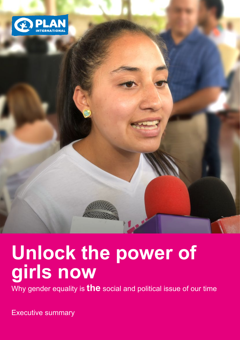

# **Unlock the power of girls now**

Why gender equality is **the** social and political issue of our time

Executive summary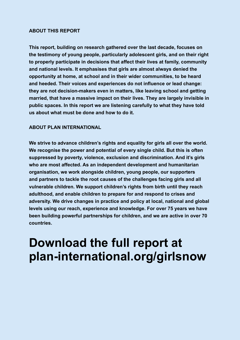#### **ABOUT THIS REPORT**

**This report, building on research gathered over the last decade, focuses on the testimony of young people, particularly adolescent girls, and on their right to properly participate in decisions that affect their lives at family, community and national levels. It emphasises that girls are almost always denied the opportunity at home, at school and in their wider communities, to be heard and heeded. Their voices and experiences do not influence or lead change: they are not decision-makers even in matters, like leaving school and getting married, that have a massive impact on their lives. They are largely invisible in public spaces. In this report we are listening carefully to what they have told us about what must be done and how to do it.** 

#### **ABOUT PLAN INTERNATIONAL**

**We strive to advance children's rights and equality for girls all over the world. We recognise the power and potential of every single child. But this is often suppressed by poverty, violence, exclusion and discrimination. And it's girls who are most affected. As an independent development and humanitarian organisation, we work alongside children, young people, our supporters and partners to tackle the root causes of the challenges facing girls and all vulnerable children. We support children's rights from birth until they reach adulthood, and enable children to prepare for and respond to crises and adversity. We drive changes in practice and policy at local, national and global levels using our reach, experience and knowledge. For over 75 years we have been building powerful partnerships for children, and we are active in over 70 countries.**

# **Download the full report at [plan-international.org/girlsnow](https://plan-international.org/girlsnow)**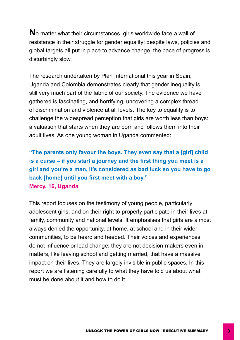**N**o matter what their circumstances, girls worldwide face a wall of resistance in their struggle for gender equality: despite laws, policies and global targets all put in place to advance change, the pace of progress is disturbingly slow.

The research undertaken by Plan International this year in Spain, Uganda and Colombia demonstrates clearly that gender inequality is still very much part of the fabric of our society. The evidence we have gathered is fascinating, and horrifying, uncovering a complex thread of discrimination and violence at all levels. The key to equality is to challenge the widespread perception that girls are worth less than boys: a valuation that starts when they are born and follows them into their adult lives. As one young woman in Uganda commented:

**"The parents only favour the boys. They even say that a [girl] child is a curse – if you start a journey and the first thing you meet is a girl and you're a man, it's considered as bad luck so you have to go back [home] until you first meet with a boy." Mercy, 16, Uganda**

This report focuses on the testimony of young people, particularly adolescent girls, and on their right to properly participate in their lives at family, community and national levels. It emphasises that girls are almost always denied the opportunity, at home, at school and in their wider communities, to be heard and heeded. Their voices and experiences do not influence or lead change: they are not decision-makers even in matters, like leaving school and getting married, that have a massive impact on their lives. They are largely invisible in public spaces. In this report we are listening carefully to what they have told us about what must be done about it and how to do it.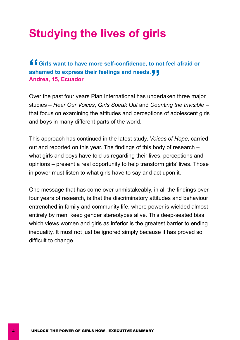# **Studying the lives of girls**

**"Girls want to have more self-confidence, to not feel afraid or**  ashamed to express their feelings and needs.リリ<br>Andrea, 15, Ecuador **Andrea, 15, Ecuador** 

Over the past four years Plan International has undertaken three major studies – *Hear Our Voices*, *Girls Speak Out* and *Counting the Invisible* – that focus on examining the attitudes and perceptions of adolescent girls and boys in many different parts of the world.

This approach has continued in the latest study, *Voices of Hope*, carried out and reported on this year. The findings of this body of research – what girls and boys have told us regarding their lives, perceptions and opinions – present a real opportunity to help transform girls' lives. Those in power must listen to what girls have to say and act upon it.

One message that has come over unmistakeably, in all the findings over four years of research, is that the discriminatory attitudes and behaviour entrenched in family and community life, where power is wielded almost entirely by men, keep gender stereotypes alive. This deep-seated bias which views women and girls as inferior is the greatest barrier to ending inequality. It must not just be ignored simply because it has proved so difficult to change.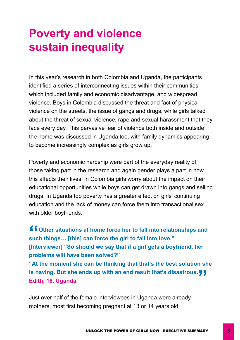### **Poverty and violence sustain inequality**

In this year's research in both Colombia and Uganda, the participants identified a series of interconnecting issues within their communities which included family and economic disadvantage, and widespread violence. Boys in Colombia discussed the threat and fact of physical violence on the streets, the issue of gangs and drugs, while girls talked about the threat of sexual violence, rape and sexual harassment that they face every day. This pervasive fear of violence both inside and outside the home was discussed in Uganda too, with family dynamics appearing to become increasingly complex as girls grow up.

Poverty and economic hardship were part of the everyday reality of those taking part in the research and again gender plays a part in how this affects their lives: in Colombia girls worry about the impact on their educational opportunities while boys can get drawn into gangs and selling drugs. In Uganda too poverty has a greater effect on girls' continuing education and the lack of money can force them into transactional sex with older boyfriends.

**f**  $\overline{\phantom{a}}$  Other situations at home force her to fall into relationships and **such things… [this] can force the girl to fall into love." [Interviewer] "So should we say that if a girl gets a boyfriend, her problems will have been solved?" "At the moment she can be thinking that that's the best solution she**  is having. But she ends up with an end result that's disastrous.リ<mark>リ</mark><br>Edith, 16, Uganda **Edith, 16, Uganda**

Just over half of the female interviewees in Uganda were already mothers, most first becoming pregnant at 13 or 14 years old.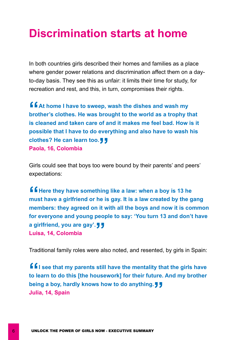#### **Discrimination starts at home**

In both countries girls described their homes and families as a place where gender power relations and discrimination affect them on a dayto-day basis. They see this as unfair: it limits their time for study, for recreation and rest, and this, in turn, compromises their rights.

**f**  $A$  t home I have to sweep, wash the dishes and wash my **brother's clothes. He was brought to the world as a trophy that is cleaned and taken care of and it makes me feel bad. How is it possible that I have to do everything and also have to wash his**  clothes? He can learn too.リリ<br>Paola, 16, Colombia **Paola, 16, Colombia**

Girls could see that boys too were bound by their parents' and peers' expectations:

**f f** Here they have something like a law: when a boy is 13 he **must have a girlfriend or he is gay. It is a law created by the gang members: they agreed on it with all the boys and now it is common for everyone and young people to say: 'You turn 13 and don't have**  a girlfriend, you are gay'. <mark>()</mark><br>Luisa, 14, Colombia **Luisa, 14, Colombia**

Traditional family roles were also noted, and resented, by girls in Spain:

**f f** i see that my parents still have the mentality that the girls have **to learn to do this [the housework] for their future. And my brother**  being a boy, hardly knows how to do anything.リリ<br>Julia, 14, Spain **Julia, 14, Spain**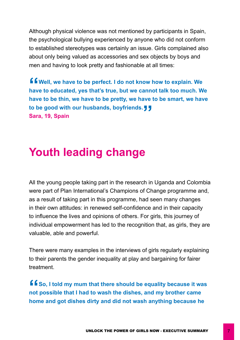Although physical violence was not mentioned by participants in Spain, the psychological bullying experienced by anyone who did not conform to established stereotypes was certainly an issue. Girls complained also about only being valued as accessories and sex objects by boys and men and having to look pretty and fashionable at all times:

**f** f Well, we have to be perfect. I do not know how to explain. We **have to educated, yes that's true, but we cannot talk too much. We have to be thin, we have to be pretty, we have to be smart, we have to be good with our husbands, boyfriends. " Sara, 19, Spain**

#### **Youth leading change**

All the young people taking part in the research in Uganda and Colombia were part of Plan International's Champions of Change programme and, as a result of taking part in this programme, had seen many changes in their own attitudes: in renewed self-confidence and in their capacity to influence the lives and opinions of others. For girls, this journey of individual empowerment has led to the recognition that, as girls, they are valuable, able and powerful.

There were many examples in the interviews of girls regularly explaining to their parents the gender inequality at play and bargaining for fairer treatment.

**f f** So, I told my mum that there should be equality because it was **not possible that I had to wash the dishes, and my brother came home and got dishes dirty and did not wash anything because he**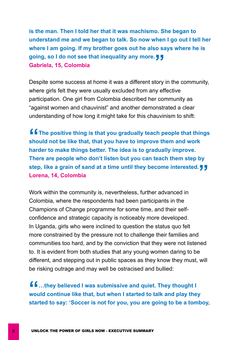**is the man. Then I told her that it was machismo. She began to understand me and we began to talk. So now when I go out I tell her where I am going. If my brother goes out he also says where he is**  going, so I do not see that inequality any more. J J<br>Gabriela, 15, Colombia **Gabriela, 15, Colombia**

Despite some success at home it was a different story in the community, where girls felt they were usually excluded from any effective participation. One girl from Colombia described her community as "against women and chauvinist" and another demonstrated a clear understanding of how long it might take for this chauvinism to shift:

**f f** The positive thing is that you gradually teach people that things **should not be like that, that you have to improve them and work harder to make things better. The idea is to gradually improve. There are people who don't listen but you can teach them step by**  step, like a grain of sand at a time until they become interested.!<br>Lorena, 14, Colombia **Lorena, 14, Colombia**

Work within the community is, nevertheless, further advanced in Colombia, where the respondents had been participants in the Champions of Change programme for some time, and their selfconfidence and strategic capacity is noticeably more developed. In Uganda, girls who were inclined to question the status quo felt more constrained by the pressure not to challenge their families and communities too hard, and by the conviction that they were not listened to. It is evident from both studies that any young women daring to be different, and stepping out in public spaces as they know they must, will be risking outrage and may well be ostracised and bullied:

**ff** ...they believed I was submissive and quiet. They thought I **would continue like that, but when I started to talk and play they started to say: 'Soccer is not for you, you are going to be a tomboy,**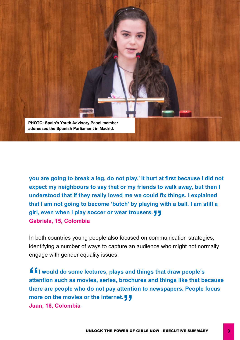

**you are going to break a leg, do not play.' It hurt at first because I did not expect my neighbours to say that or my friends to walk away, but then I understood that if they really loved me we could fix things. I explained that I am not going to become 'butch' by playing with a ball. I am still a**  girl, even when I play soccer or wear trousers. J J<br>Gabriela, 15, Colombia **Gabriela, 15, Colombia**

In both countries young people also focused on communication strategies, identifying a number of ways to capture an audience who might not normally engage with gender equality issues.

**filled** would do some lectures, plays and things that draw people's **attention such as movies, series, brochures and things like that because there are people who do not pay attention to newspapers. People focus**  more on the movies or the internet.!<mark>!!</mark><br>Juan, 16, Colombia **Juan, 16, Colombia**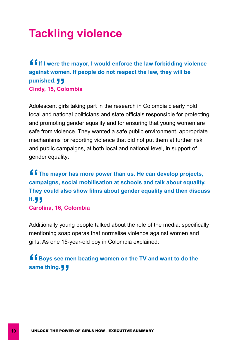### **Tackling violence**

**f f** If I were the mayor, I would enforce the law forbidding violence **against women. If people do not respect the law, they will be punished. Cindy, 15, Colombia "**<br>Col

Adolescent girls taking part in the research in Colombia clearly hold local and national politicians and state officials responsible for protecting and promoting gender equality and for ensuring that young women are safe from violence. They wanted a safe public environment, appropriate mechanisms for reporting violence that did not put them at further risk and public campaigns, at both local and national level, in support of gender equality:

**f f** The mayor has more power than us. He can develop projects, **campaigns, social mobilisation at schools and talk about equality. They could also show films about gender equality and then discuss it. Carolina, 16, Colombia ,<br>**<br>arol

Additionally young people talked about the role of the media: specifically mentioning soap operas that normalise violence against women and girls. As one 15-year-old boy in Colombia explained:

#### **f Boys see men beating women on the TV and want to do the same thing."**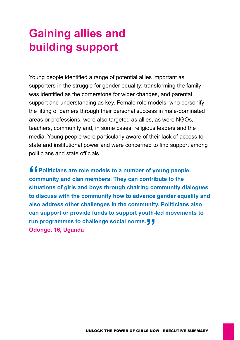# **Gaining allies and building support**

Young people identified a range of potential allies important as supporters in the struggle for gender equality: transforming the family was identified as the cornerstone for wider changes, and parental support and understanding as key. Female role models, who personify the lifting of barriers through their personal success in male-dominated areas or professions, were also targeted as allies, as were NGOs, teachers, community and, in some cases, religious leaders and the media. Young people were particularly aware of their lack of access to state and institutional power and were concerned to find support among politicians and state officials.

**f f** Politicians are role models to a number of young people, **community and clan members. They can contribute to the situations of girls and boys through chairing community dialogues to discuss with the community how to advance gender equality and also address other challenges in the community. Politicians also can support or provide funds to support youth-led movements to**  run programmes to challenge social norms.!<mark>!</mark><br>Odongo, 16, Uganda **Odongo, 16, Uganda**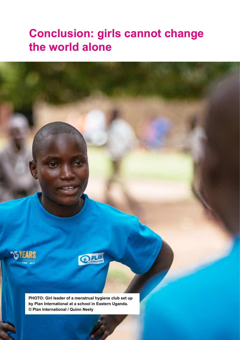### **Conclusion: girls cannot change the world alone**





**PHOTO: Girl leader of a menstrual hygiene club set up by Plan International at a school in Eastern Uganda. © Plan International / Quinn Neely**

12 UNLOCK THE POWER OF GIRLS NOW - EXECUTIVE SUMMARY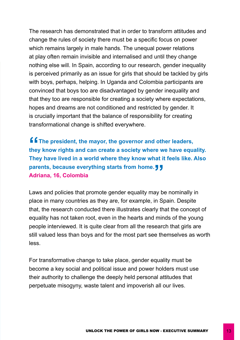The research has demonstrated that in order to transform attitudes and change the rules of society there must be a specific focus on power which remains largely in male hands. The unequal power relations at play often remain invisible and internalised and until they change nothing else will. In Spain, according to our research, gender inequality is perceived primarily as an issue for girls that should be tackled by girls with boys, perhaps, helping. In Uganda and Colombia participants are convinced that boys too are disadvantaged by gender inequality and that they too are responsible for creating a society where expectations, hopes and dreams are not conditioned and restricted by gender. It is crucially important that the balance of responsibility for creating transformational change is shifted everywhere.

**f f** The president, the mayor, the governor and other leaders, **they know rights and can create a society where we have equality. They have lived in a world where they know what it feels like. Also**  parents, because everything starts from home.リリ<br>Adriana, 16, Colombia **Adriana, 16, Colombia**

Laws and policies that promote gender equality may be nominally in place in many countries as they are, for example, in Spain. Despite that, the research conducted there illustrates clearly that the concept of equality has not taken root, even in the hearts and minds of the young people interviewed. It is quite clear from all the research that girls are still valued less than boys and for the most part see themselves as worth less.

For transformative change to take place, gender equality must be become a key social and political issue and power holders must use their authority to challenge the deeply held personal attitudes that perpetuate misogyny, waste talent and impoverish all our lives.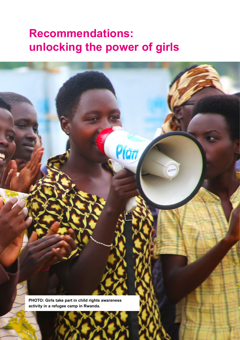### **Recommendations: unlocking the power of girls**

Pian

**PHOTO: Girls take part in child rights awareness activity in a refugee camp in Rwanda.**

 $14$  UNLOCK THE POWER OF GIRLS NOW  $\mathbf{F}$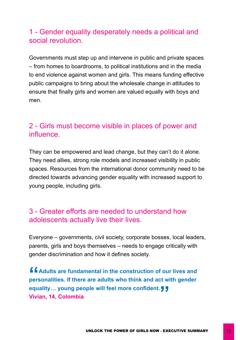#### 1 - Gender equality desperately needs a political and social revolution.

Governments must step up and intervene in public and private spaces – from homes to boardrooms, to political institutions and in the media to end violence against women and girls. This means funding effective public campaigns to bring about the wholesale change in attitudes to ensure that finally girls and women are valued equally with boys and men.

#### 2 - Girls must become visible in places of power and influence.

They can be empowered and lead change, but they can't do it alone. They need allies, strong role models and increased visibility in public spaces. Resources from the international donor community need to be directed towards advancing gender equality with increased support to young people, including girls.

#### 3 - Greater efforts are needed to understand how adolescents actually live their lives.

Everyone – governments, civil society, corporate bosses, local leaders, parents, girls and boys themselves – needs to engage critically with gender discrimination and how it defines society.

**Adults are fundamental in the construction of our lives and personalities. If there are adults who think and act with gender equality... young people will feel more confident. Vivian, 14, Colombia**